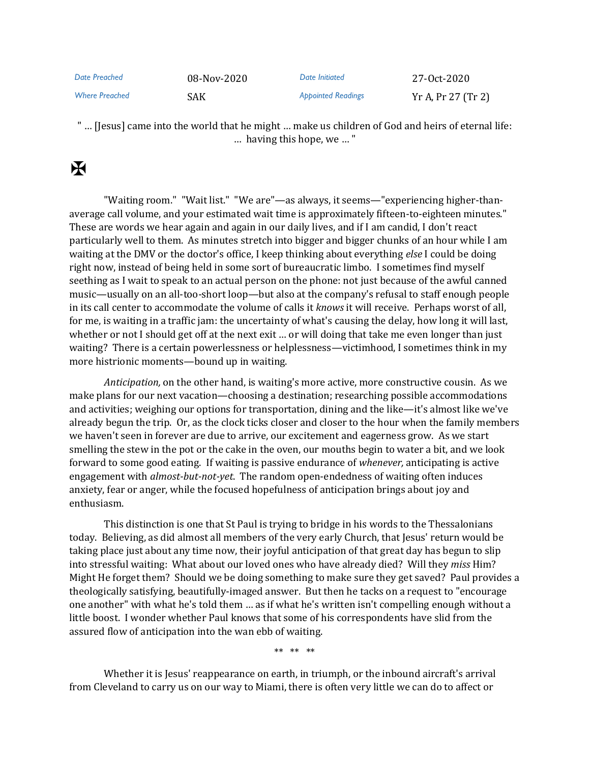| Date Preached         | 08-Nov-2020 | Date Initiated            | 27-0ct-2020        |
|-----------------------|-------------|---------------------------|--------------------|
| <b>Where Preached</b> | <b>SAK</b>  | <b>Appointed Readings</b> | Yr A, Pr 27 (Tr 2) |

" … [Jesus] came into the world that he might … make us children of God and heirs of eternal life: … having this hope, we … "

## K

"Waiting room." "Wait list." "We are"—as always, it seems—"experiencing higher-thanaverage call volume, and your estimated wait time is approximately fifteen-to-eighteen minutes." These are words we hear again and again in our daily lives, and if I am candid, I don't react particularly well to them. As minutes stretch into bigger and bigger chunks of an hour while I am waiting at the DMV or the doctor's office, I keep thinking about everything *else* I could be doing right now, instead of being held in some sort of bureaucratic limbo. I sometimes find myself seething as I wait to speak to an actual person on the phone: not just because of the awful canned music—usually on an all-too-short loop—but also at the company's refusal to staff enough people in its call center to accommodate the volume of calls it *knows* it will receive. Perhaps worst of all, for me, is waiting in a traffic jam: the uncertainty of what's causing the delay, how long it will last, whether or not I should get off at the next exit ... or will doing that take me even longer than just waiting? There is a certain powerlessness or helplessness—victimhood, I sometimes think in my more histrionic moments—bound up in waiting.

*Anticipation,* on the other hand, is waiting's more active, more constructive cousin. As we make plans for our next vacation—choosing a destination; researching possible accommodations and activities; weighing our options for transportation, dining and the like—it's almost like we've already begun the trip. Or, as the clock ticks closer and closer to the hour when the family members we haven't seen in forever are due to arrive, our excitement and eagerness grow. As we start smelling the stew in the pot or the cake in the oven, our mouths begin to water a bit, and we look forward to some good eating. If waiting is passive endurance of *whenever,* anticipating is active engagement with *almost-but-not-yet*. The random open-endedness of waiting often induces anxiety, fear or anger, while the focused hopefulness of anticipation brings about joy and enthusiasm.

This distinction is one that St Paul is trying to bridge in his words to the Thessalonians today. Believing, as did almost all members of the very early Church, that Jesus' return would be taking place just about any time now, their joyful anticipation of that great day has begun to slip into stressful waiting: What about our loved ones who have already died? Will they *miss* Him? Might He forget them? Should we be doing something to make sure they get saved? Paul provides a theologically satisfying, beautifully-imaged answer. But then he tacks on a request to "encourage one another" with what he's told them … as if what he's written isn't compelling enough without a little boost. I wonder whether Paul knows that some of his correspondents have slid from the assured flow of anticipation into the wan ebb of waiting.

\*\* \*\* \*\*

Whether it is Jesus' reappearance on earth, in triumph, or the inbound aircraft's arrival from Cleveland to carry us on our way to Miami, there is often very little we can do to affect or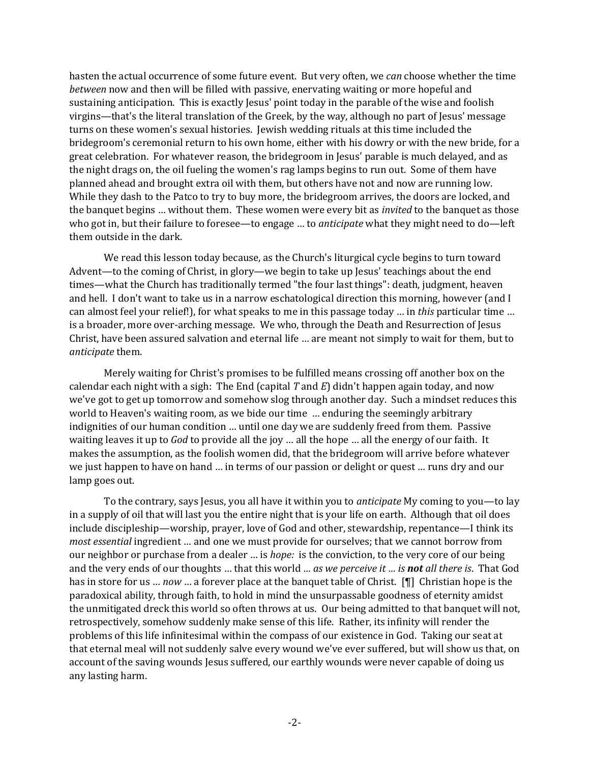hasten the actual occurrence of some future event. But very often, we *can* choose whether the time *between* now and then will be filled with passive, enervating waiting or more hopeful and sustaining anticipation. This is exactly Jesus' point today in the parable of the wise and foolish virgins—that's the literal translation of the Greek, by the way, although no part of Jesus' message turns on these women's sexual histories. Jewish wedding rituals at this time included the bridegroom's ceremonial return to his own home, either with his dowry or with the new bride, for a great celebration. For whatever reason, the bridegroom in Jesus' parable is much delayed, and as the night drags on, the oil fueling the women's rag lamps begins to run out. Some of them have planned ahead and brought extra oil with them, but others have not and now are running low. While they dash to the Patco to try to buy more, the bridegroom arrives, the doors are locked, and the banquet begins … without them. These women were every bit as *invited* to the banquet as those who got in, but their failure to foresee—to engage … to *anticipate* what they might need to do—left them outside in the dark.

We read this lesson today because, as the Church's liturgical cycle begins to turn toward Advent—to the coming of Christ, in glory—we begin to take up Jesus' teachings about the end times—what the Church has traditionally termed "the four last things": death, judgment, heaven and hell. I don't want to take us in a narrow eschatological direction this morning, however (and I can almost feel your relief!), for what speaks to me in this passage today … in *this* particular time … is a broader, more over-arching message. We who, through the Death and Resurrection of Jesus Christ, have been assured salvation and eternal life … are meant not simply to wait for them, but to *anticipate* them.

Merely waiting for Christ's promises to be fulfilled means crossing off another box on the calendar each night with a sigh: The End (capital *T* and *E*) didn't happen again today, and now we've got to get up tomorrow and somehow slog through another day. Such a mindset reduces this world to Heaven's waiting room, as we bide our time … enduring the seemingly arbitrary indignities of our human condition … until one day we are suddenly freed from them. Passive waiting leaves it up to *God* to provide all the joy … all the hope … all the energy of our faith. It makes the assumption, as the foolish women did, that the bridegroom will arrive before whatever we just happen to have on hand … in terms of our passion or delight or quest … runs dry and our lamp goes out.

To the contrary, says Jesus, you all have it within you to *anticipate* My coming to you—to lay in a supply of oil that will last you the entire night that is your life on earth. Although that oil does include discipleship—worship, prayer, love of God and other, stewardship, repentance—I think its *most essential* ingredient … and one we must provide for ourselves; that we cannot borrow from our neighbor or purchase from a dealer … is *hope:* is the conviction, to the very core of our being and the very ends of our thoughts … that this world *… as we perceive it … is not all there is*. That God has in store for us … *now* … a forever place at the banquet table of Christ. [¶] Christian hope is the paradoxical ability, through faith, to hold in mind the unsurpassable goodness of eternity amidst the unmitigated dreck this world so often throws at us. Our being admitted to that banquet will not, retrospectively, somehow suddenly make sense of this life. Rather, its infinity will render the problems of this life infinitesimal within the compass of our existence in God. Taking our seat at that eternal meal will not suddenly salve every wound we've ever suffered, but will show us that, on account of the saving wounds Jesus suffered, our earthly wounds were never capable of doing us any lasting harm.